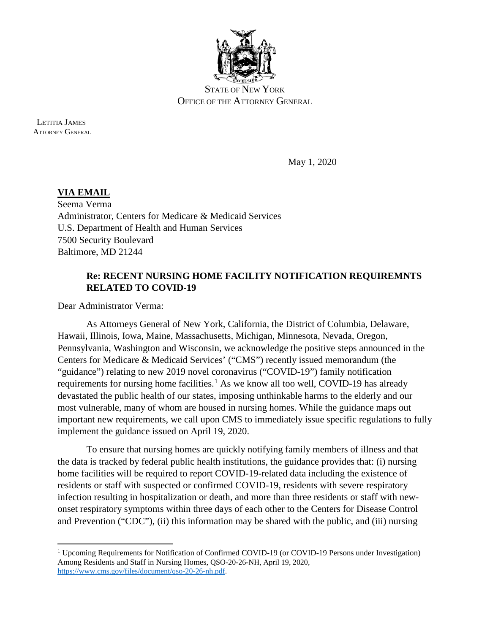

STATE OF NEW YORK OFFICE OF THE ATTORNEY GENERAL

 LETITIA JAMES ATTORNEY GENERAL

l

May 1, 2020

**VIA EMAIL**  Seema Verma Administrator, Centers for Medicare & Medicaid Services U.S. Department of Health and Human Services 7500 Security Boulevard Baltimore, MD 21244

## **Re: RECENT NURSING HOME FACILITY NOTIFICATION REQUIREMNTS RELATED TO COVID-19**

Dear Administrator Verma:

As Attorneys General of New York, California, the District of Columbia, Delaware, Hawaii, Illinois, Iowa, Maine, Massachusetts, Michigan, Minnesota, Nevada, Oregon, Pennsylvania, Washington and Wisconsin, we acknowledge the positive steps announced in the Centers for Medicare & Medicaid Services' ("CMS") recently issued memorandum (the "guidance") relating to new 2019 novel coronavirus ("COVID-19") family notification requirements for nursing home facilities.<sup>[1](#page-0-0)</sup> As we know all too well, COVID-19 has already devastated the public health of our states, imposing unthinkable harms to the elderly and our most vulnerable, many of whom are housed in nursing homes. While the guidance maps out important new requirements, we call upon CMS to immediately issue specific regulations to fully implement the guidance issued on April 19, 2020.

To ensure that nursing homes are quickly notifying family members of illness and that the data is tracked by federal public health institutions, the guidance provides that: (i) nursing home facilities will be required to report COVID-19-related data including the existence of residents or staff with suspected or confirmed COVID-19, residents with severe respiratory infection resulting in hospitalization or death, and more than three residents or staff with newonset respiratory symptoms within three days of each other to the Centers for Disease Control and Prevention ("CDC"), (ii) this information may be shared with the public, and (iii) nursing

<span id="page-0-0"></span><sup>1</sup> Upcoming Requirements for Notification of Confirmed COVID-19 (or COVID-19 Persons under Investigation) Among Residents and Staff in Nursing Homes, QSO-20-26-NH, April 19, 2020, [https://www.cms.gov/files/document/qso-20-26-nh.pdf.](https://www.cms.gov/files/document/qso-20-26-nh.pdf)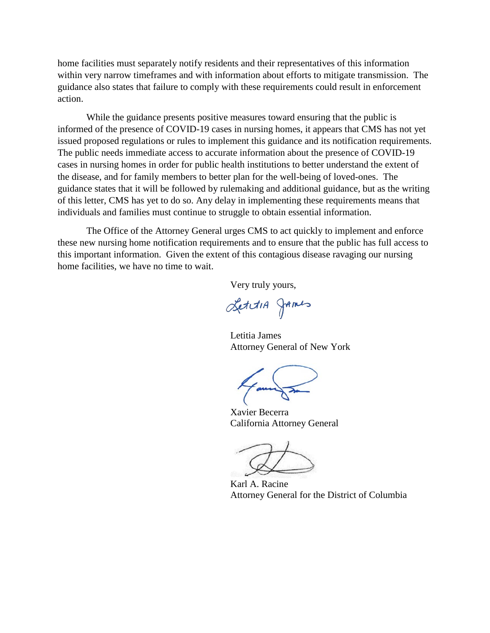home facilities must separately notify residents and their representatives of this information within very narrow timeframes and with information about efforts to mitigate transmission. The guidance also states that failure to comply with these requirements could result in enforcement action.

While the guidance presents positive measures toward ensuring that the public is informed of the presence of COVID-19 cases in nursing homes, it appears that CMS has not yet issued proposed regulations or rules to implement this guidance and its notification requirements. The public needs immediate access to accurate information about the presence of COVID-19 cases in nursing homes in order for public health institutions to better understand the extent of the disease, and for family members to better plan for the well-being of loved-ones. The guidance states that it will be followed by rulemaking and additional guidance, but as the writing of this letter, CMS has yet to do so. Any delay in implementing these requirements means that individuals and families must continue to struggle to obtain essential information.

The Office of the Attorney General urges CMS to act quickly to implement and enforce these new nursing home notification requirements and to ensure that the public has full access to this important information. Given the extent of this contagious disease ravaging our nursing home facilities, we have no time to wait.

Very truly yours,

LettiA JAmes

Letitia James Attorney General of New York

 Xavier Becerra California Attorney General

 Karl A. Racine Attorney General for the District of Columbia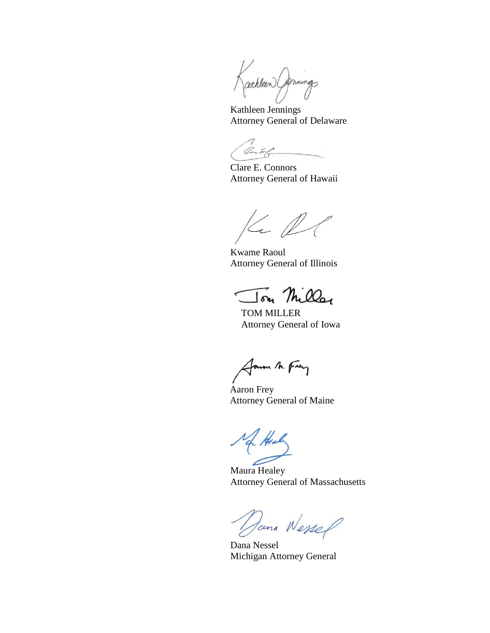Kathleen Commings

 Kathleen Jennings Attorney General of Delaware

Cont

 Clare E. Connors Attorney General of Hawaii

 $K. D$ 

 Kwame Raoul Attorney General of Illinois

TOM MILER

TOM MILLER Attorney General of Iowa

Janon M. Frey

 Aaron Frey Attorney General of Maine

 Maura Healey Attorney General of Massachusetts

Jama Nessel

Michigan Attorney General